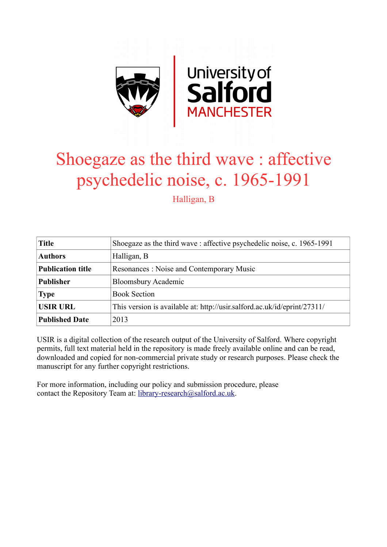

# Shoegaze as the third wave : affective psychedelic noise, c. 1965-1991

Halligan, B

| <b>Title</b>             | Shoegaze as the third wave: affective psychedelic noise, c. 1965-1991    |
|--------------------------|--------------------------------------------------------------------------|
| <b>Authors</b>           | Halligan, B                                                              |
| <b>Publication title</b> | Resonances: Noise and Contemporary Music                                 |
| <b>Publisher</b>         | <b>Bloomsbury Academic</b>                                               |
| <b>Type</b>              | <b>Book Section</b>                                                      |
| <b>USIR URL</b>          | This version is available at: http://usir.salford.ac.uk/id/eprint/27311/ |
| <b>Published Date</b>    | 2013                                                                     |

USIR is a digital collection of the research output of the University of Salford. Where copyright permits, full text material held in the repository is made freely available online and can be read, downloaded and copied for non-commercial private study or research purposes. Please check the manuscript for any further copyright restrictions.

For more information, including our policy and submission procedure, please contact the Repository Team at: [library-research@salford.ac.uk.](mailto:library-research@salford.ac.uk)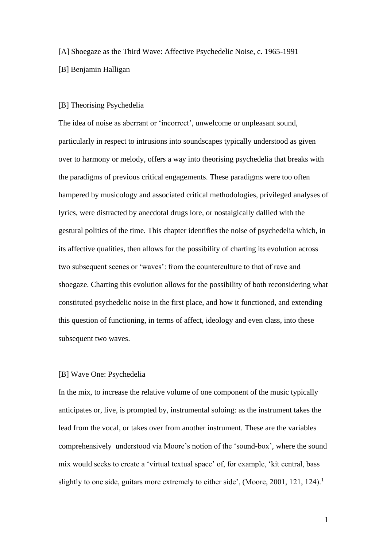[A] Shoegaze as the Third Wave: Affective Psychedelic Noise, c. 1965-1991 [B] Benjamin Halligan

#### [B] Theorising Psychedelia

The idea of noise as aberrant or 'incorrect', unwelcome or unpleasant sound, particularly in respect to intrusions into soundscapes typically understood as given over to harmony or melody, offers a way into theorising psychedelia that breaks with the paradigms of previous critical engagements. These paradigms were too often hampered by musicology and associated critical methodologies, privileged analyses of lyrics, were distracted by anecdotal drugs lore, or nostalgically dallied with the gestural politics of the time. This chapter identifies the noise of psychedelia which, in its affective qualities, then allows for the possibility of charting its evolution across two subsequent scenes or 'waves': from the counterculture to that of rave and shoegaze. Charting this evolution allows for the possibility of both reconsidering what constituted psychedelic noise in the first place, and how it functioned, and extending this question of functioning, in terms of affect, ideology and even class, into these subsequent two waves.

## [B] Wave One: Psychedelia

In the mix, to increase the relative volume of one component of the music typically anticipates or, live, is prompted by, instrumental soloing: as the instrument takes the lead from the vocal, or takes over from another instrument. These are the variables comprehensively understood via Moore's notion of the 'sound-box', where the sound mix would seeks to create a 'virtual textual space' of, for example, 'kit central, bass slightly to one side, guitars more extremely to either side', (Moore, 2001, 121, 124).<sup>1</sup>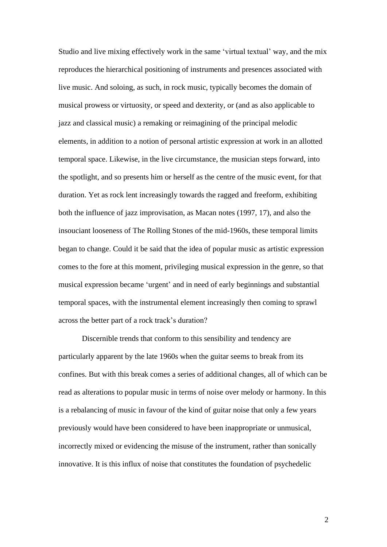Studio and live mixing effectively work in the same 'virtual textual' way, and the mix reproduces the hierarchical positioning of instruments and presences associated with live music. And soloing, as such, in rock music, typically becomes the domain of musical prowess or virtuosity, or speed and dexterity, or (and as also applicable to jazz and classical music) a remaking or reimagining of the principal melodic elements, in addition to a notion of personal artistic expression at work in an allotted temporal space. Likewise, in the live circumstance, the musician steps forward, into the spotlight, and so presents him or herself as the centre of the music event, for that duration. Yet as rock lent increasingly towards the ragged and freeform, exhibiting both the influence of jazz improvisation, as Macan notes (1997, 17), and also the insouciant looseness of The Rolling Stones of the mid-1960s, these temporal limits began to change. Could it be said that the idea of popular music as artistic expression comes to the fore at this moment, privileging musical expression in the genre, so that musical expression became 'urgent' and in need of early beginnings and substantial temporal spaces, with the instrumental element increasingly then coming to sprawl across the better part of a rock track's duration?

Discernible trends that conform to this sensibility and tendency are particularly apparent by the late 1960s when the guitar seems to break from its confines. But with this break comes a series of additional changes, all of which can be read as alterations to popular music in terms of noise over melody or harmony. In this is a rebalancing of music in favour of the kind of guitar noise that only a few years previously would have been considered to have been inappropriate or unmusical, incorrectly mixed or evidencing the misuse of the instrument, rather than sonically innovative. It is this influx of noise that constitutes the foundation of psychedelic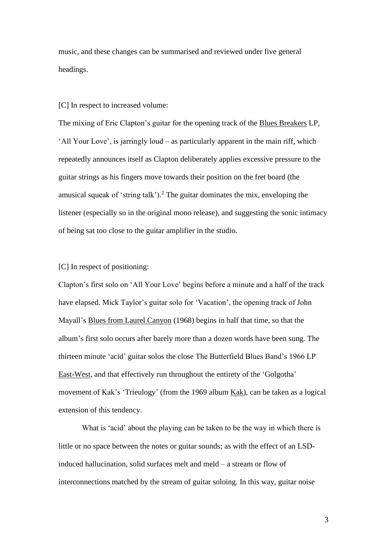music, and these changes can be summarised and reviewed under five general headings.

[C] In respect to increased volume:

The mixing of Eric Clapton's guitar for the opening track of the Blues Breakers LP, 'All Your Love', is jarringly loud – as particularly apparent in the main riff, which repeatedly announces itself as Clapton deliberately applies excessive pressure to the guitar strings as his fingers move towards their position on the fret board (the amusical squeak of 'string talk'). <sup>2</sup> The guitar dominates the mix, enveloping the listener (especially so in the original mono release), and suggesting the sonic intimacy of being sat too close to the guitar amplifier in the studio.

## [C] In respect of positioning:

Clapton's first solo on 'All Your Love' begins before a minute and a half of the track have elapsed. Mick Taylor's guitar solo for 'Vacation', the opening track of John Mayall's Blues from Laurel Canyon (1968) begins in half that time, so that the album's first solo occurs after barely more than a dozen words have been sung. The thirteen minute 'acid' guitar solos the close The Butterfield Blues Band's 1966 LP East-West, and that effectively run throughout the entirety of the 'Golgotha' movement of Kak's 'Trieulogy' (from the 1969 album Kak), can be taken as a logical extension of this tendency.

What is 'acid' about the playing can be taken to be the way in which there is little or no space between the notes or guitar sounds; as with the effect of an LSDinduced hallucination, solid surfaces melt and meld – a stream or flow of interconnections matched by the stream of guitar soloing. In this way, guitar noise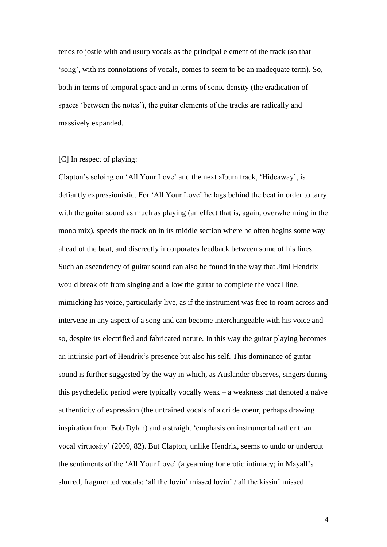tends to jostle with and usurp vocals as the principal element of the track (so that 'song', with its connotations of vocals, comes to seem to be an inadequate term). So, both in terms of temporal space and in terms of sonic density (the eradication of spaces 'between the notes'), the guitar elements of the tracks are radically and massively expanded.

## [C] In respect of playing:

Clapton's soloing on 'All Your Love' and the next album track, 'Hideaway', is defiantly expressionistic. For 'All Your Love' he lags behind the beat in order to tarry with the guitar sound as much as playing (an effect that is, again, overwhelming in the mono mix), speeds the track on in its middle section where he often begins some way ahead of the beat, and discreetly incorporates feedback between some of his lines. Such an ascendency of guitar sound can also be found in the way that Jimi Hendrix would break off from singing and allow the guitar to complete the vocal line, mimicking his voice, particularly live, as if the instrument was free to roam across and intervene in any aspect of a song and can become interchangeable with his voice and so, despite its electrified and fabricated nature. In this way the guitar playing becomes an intrinsic part of Hendrix's presence but also his self. This dominance of guitar sound is further suggested by the way in which, as Auslander observes, singers during this psychedelic period were typically vocally weak – a weakness that denoted a naïve authenticity of expression (the untrained vocals of a cri de coeur, perhaps drawing inspiration from Bob Dylan) and a straight 'emphasis on instrumental rather than vocal virtuosity' (2009, 82). But Clapton, unlike Hendrix, seems to undo or undercut the sentiments of the 'All Your Love' (a yearning for erotic intimacy; in Mayall's slurred, fragmented vocals: 'all the lovin' missed lovin' / all the kissin' missed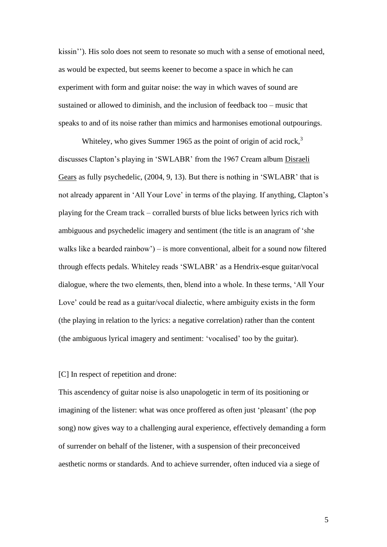kissin''). His solo does not seem to resonate so much with a sense of emotional need, as would be expected, but seems keener to become a space in which he can experiment with form and guitar noise: the way in which waves of sound are sustained or allowed to diminish, and the inclusion of feedback too – music that speaks to and of its noise rather than mimics and harmonises emotional outpourings.

Whiteley, who gives Summer 1965 as the point of origin of acid rock,<sup>3</sup> discusses Clapton's playing in 'SWLABR' from the 1967 Cream album Disraeli Gears as fully psychedelic, (2004, 9, 13). But there is nothing in 'SWLABR' that is not already apparent in 'All Your Love' in terms of the playing. If anything, Clapton's playing for the Cream track – corralled bursts of blue licks between lyrics rich with ambiguous and psychedelic imagery and sentiment (the title is an anagram of 'she walks like a bearded rainbow') – is more conventional, albeit for a sound now filtered through effects pedals. Whiteley reads 'SWLABR' as a Hendrix-esque guitar/vocal dialogue, where the two elements, then, blend into a whole. In these terms, 'All Your Love' could be read as a guitar/vocal dialectic, where ambiguity exists in the form (the playing in relation to the lyrics: a negative correlation) rather than the content (the ambiguous lyrical imagery and sentiment: 'vocalised' too by the guitar).

[C] In respect of repetition and drone:

This ascendency of guitar noise is also unapologetic in term of its positioning or imagining of the listener: what was once proffered as often just 'pleasant' (the pop song) now gives way to a challenging aural experience, effectively demanding a form of surrender on behalf of the listener, with a suspension of their preconceived aesthetic norms or standards. And to achieve surrender, often induced via a siege of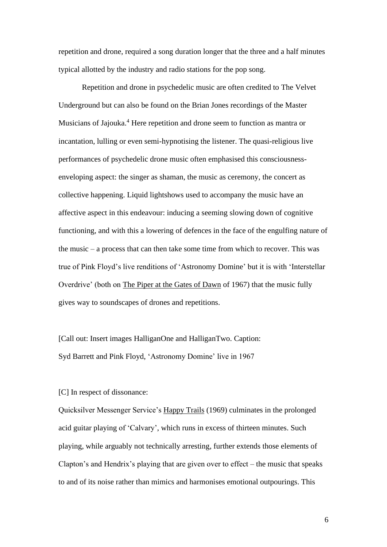repetition and drone, required a song duration longer that the three and a half minutes typical allotted by the industry and radio stations for the pop song.

Repetition and drone in psychedelic music are often credited to The Velvet Underground but can also be found on the Brian Jones recordings of the Master Musicians of Jajouka. <sup>4</sup> Here repetition and drone seem to function as mantra or incantation, lulling or even semi-hypnotising the listener. The quasi-religious live performances of psychedelic drone music often emphasised this consciousnessenveloping aspect: the singer as shaman, the music as ceremony, the concert as collective happening. Liquid lightshows used to accompany the music have an affective aspect in this endeavour: inducing a seeming slowing down of cognitive functioning, and with this a lowering of defences in the face of the engulfing nature of the music – a process that can then take some time from which to recover. This was true of Pink Floyd's live renditions of 'Astronomy Domine' but it is with 'Interstellar Overdrive' (both on The Piper at the Gates of Dawn of 1967) that the music fully gives way to soundscapes of drones and repetitions.

[Call out: Insert images HalliganOne and HalliganTwo. Caption: Syd Barrett and Pink Floyd, 'Astronomy Domine' live in 1967

#### [C] In respect of dissonance:

Quicksilver Messenger Service's Happy Trails (1969) culminates in the prolonged acid guitar playing of 'Calvary', which runs in excess of thirteen minutes. Such playing, while arguably not technically arresting, further extends those elements of Clapton's and Hendrix's playing that are given over to effect – the music that speaks to and of its noise rather than mimics and harmonises emotional outpourings. This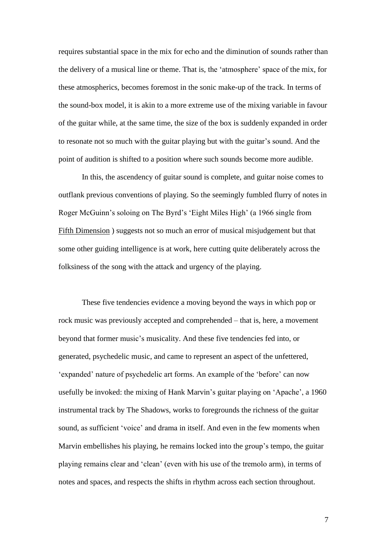requires substantial space in the mix for echo and the diminution of sounds rather than the delivery of a musical line or theme. That is, the 'atmosphere' space of the mix, for these atmospherics, becomes foremost in the sonic make-up of the track. In terms of the sound-box model, it is akin to a more extreme use of the mixing variable in favour of the guitar while, at the same time, the size of the box is suddenly expanded in order to resonate not so much with the guitar playing but with the guitar's sound. And the point of audition is shifted to a position where such sounds become more audible.

In this, the ascendency of guitar sound is complete, and guitar noise comes to outflank previous conventions of playing. So the seemingly fumbled flurry of notes in Roger McGuinn's soloing on The Byrd's 'Eight Miles High' (a 1966 single from Fifth Dimension ) suggests not so much an error of musical misjudgement but that some other guiding intelligence is at work, here cutting quite deliberately across the folksiness of the song with the attack and urgency of the playing.

These five tendencies evidence a moving beyond the ways in which pop or rock music was previously accepted and comprehended – that is, here, a movement beyond that former music's musicality. And these five tendencies fed into, or generated, psychedelic music, and came to represent an aspect of the unfettered, 'expanded' nature of psychedelic art forms. An example of the 'before' can now usefully be invoked: the mixing of Hank Marvin's guitar playing on 'Apache', a 1960 instrumental track by The Shadows, works to foregrounds the richness of the guitar sound, as sufficient 'voice' and drama in itself. And even in the few moments when Marvin embellishes his playing, he remains locked into the group's tempo, the guitar playing remains clear and 'clean' (even with his use of the tremolo arm), in terms of notes and spaces, and respects the shifts in rhythm across each section throughout.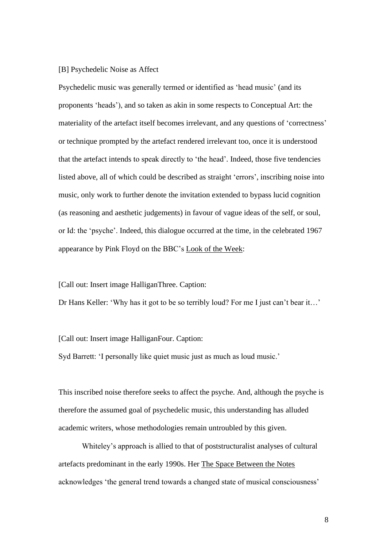#### [B] Psychedelic Noise as Affect

Psychedelic music was generally termed or identified as 'head music' (and its proponents 'heads'), and so taken as akin in some respects to Conceptual Art: the materiality of the artefact itself becomes irrelevant, and any questions of 'correctness' or technique prompted by the artefact rendered irrelevant too, once it is understood that the artefact intends to speak directly to 'the head'. Indeed, those five tendencies listed above, all of which could be described as straight 'errors', inscribing noise into music, only work to further denote the invitation extended to bypass lucid cognition (as reasoning and aesthetic judgements) in favour of vague ideas of the self, or soul, or Id: the 'psyche'. Indeed, this dialogue occurred at the time, in the celebrated 1967 appearance by Pink Floyd on the BBC's Look of the Week:

[Call out: Insert image HalliganThree. Caption:

Dr Hans Keller: 'Why has it got to be so terribly loud? For me I just can't bear it…'

[Call out: Insert image HalliganFour. Caption:

Syd Barrett: 'I personally like quiet music just as much as loud music.'

This inscribed noise therefore seeks to affect the psyche. And, although the psyche is therefore the assumed goal of psychedelic music, this understanding has alluded academic writers, whose methodologies remain untroubled by this given.

Whiteley's approach is allied to that of poststructuralist analyses of cultural artefacts predominant in the early 1990s. Her The Space Between the Notes acknowledges 'the general trend towards a changed state of musical consciousness'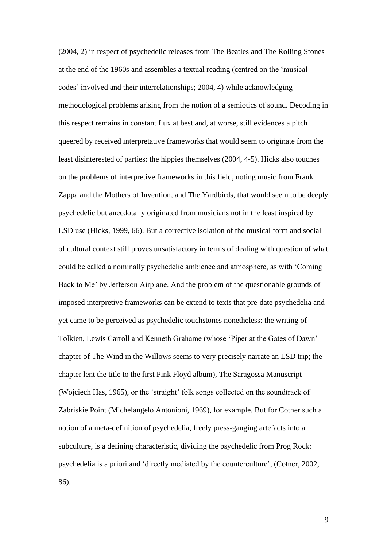(2004, 2) in respect of psychedelic releases from The Beatles and The Rolling Stones at the end of the 1960s and assembles a textual reading (centred on the 'musical codes' involved and their interrelationships; 2004, 4) while acknowledging methodological problems arising from the notion of a semiotics of sound. Decoding in this respect remains in constant flux at best and, at worse, still evidences a pitch queered by received interpretative frameworks that would seem to originate from the least disinterested of parties: the hippies themselves (2004, 4-5). Hicks also touches on the problems of interpretive frameworks in this field, noting music from Frank Zappa and the Mothers of Invention, and The Yardbirds, that would seem to be deeply psychedelic but anecdotally originated from musicians not in the least inspired by LSD use (Hicks, 1999, 66). But a corrective isolation of the musical form and social of cultural context still proves unsatisfactory in terms of dealing with question of what could be called a nominally psychedelic ambience and atmosphere, as with 'Coming Back to Me' by Jefferson Airplane. And the problem of the questionable grounds of imposed interpretive frameworks can be extend to texts that pre-date psychedelia and yet came to be perceived as psychedelic touchstones nonetheless: the writing of Tolkien, Lewis Carroll and Kenneth Grahame (whose 'Piper at the Gates of Dawn' chapter of The Wind in the Willows seems to very precisely narrate an LSD trip; the chapter lent the title to the first Pink Floyd album), The Saragossa Manuscript (Wojciech Has, 1965), or the 'straight' folk songs collected on the soundtrack of Zabriskie Point (Michelangelo Antonioni, 1969), for example. But for Cotner such a notion of a meta-definition of psychedelia, freely press-ganging artefacts into a subculture, is a defining characteristic, dividing the psychedelic from Prog Rock: psychedelia is a priori and 'directly mediated by the counterculture', (Cotner, 2002, 86).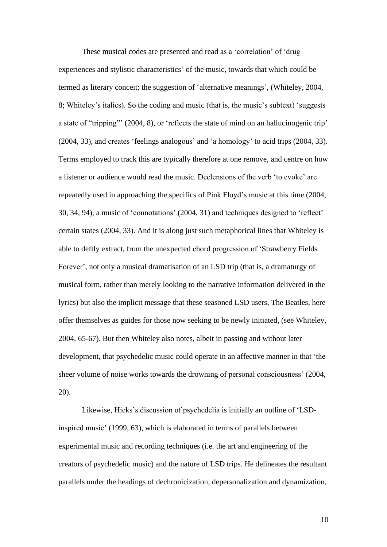These musical codes are presented and read as a 'correlation' of 'drug experiences and stylistic characteristics' of the music, towards that which could be termed as literary conceit: the suggestion of 'alternative meanings', (Whiteley, 2004, 8; Whiteley's italics). So the coding and music (that is, the music's subtext) 'suggests a state of "tripping"' (2004, 8), or 'reflects the state of mind on an hallucinogenic trip' (2004, 33), and creates 'feelings analogous' and 'a homology' to acid trips (2004, 33). Terms employed to track this are typically therefore at one remove, and centre on how a listener or audience would read the music. Declensions of the verb 'to evoke' are repeatedly used in approaching the specifics of Pink Floyd's music at this time (2004, 30, 34, 94), a music of 'connotations' (2004, 31) and techniques designed to 'reflect' certain states (2004, 33). And it is along just such metaphorical lines that Whiteley is able to deftly extract, from the unexpected chord progression of 'Strawberry Fields Forever', not only a musical dramatisation of an LSD trip (that is, a dramaturgy of musical form, rather than merely looking to the narrative information delivered in the lyrics) but also the implicit message that these seasoned LSD users, The Beatles, here offer themselves as guides for those now seeking to be newly initiated, (see Whiteley, 2004, 65-67). But then Whiteley also notes, albeit in passing and without later development, that psychedelic music could operate in an affective manner in that 'the sheer volume of noise works towards the drowning of personal consciousness' (2004, 20).

Likewise, Hicks's discussion of psychedelia is initially an outline of 'LSDinspired music' (1999, 63), which is elaborated in terms of parallels between experimental music and recording techniques (i.e. the art and engineering of the creators of psychedelic music) and the nature of LSD trips. He delineates the resultant parallels under the headings of dechronicization, depersonalization and dynamization,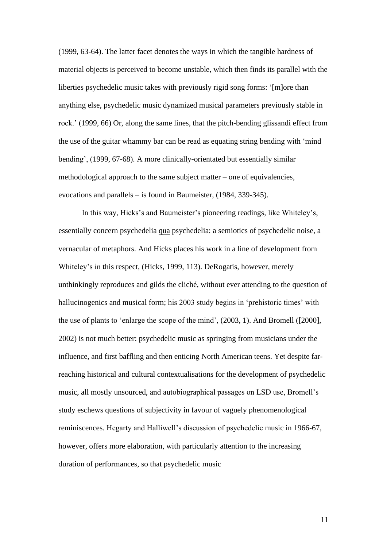(1999, 63-64). The latter facet denotes the ways in which the tangible hardness of material objects is perceived to become unstable, which then finds its parallel with the liberties psychedelic music takes with previously rigid song forms: '[m]ore than anything else, psychedelic music dynamized musical parameters previously stable in rock.' (1999, 66) Or, along the same lines, that the pitch-bending glissandi effect from the use of the guitar whammy bar can be read as equating string bending with 'mind bending', (1999, 67-68). A more clinically-orientated but essentially similar methodological approach to the same subject matter – one of equivalencies, evocations and parallels – is found in Baumeister, (1984, 339-345).

In this way, Hicks's and Baumeister's pioneering readings, like Whiteley's, essentially concern psychedelia qua psychedelia: a semiotics of psychedelic noise, a vernacular of metaphors. And Hicks places his work in a line of development from Whiteley's in this respect, (Hicks, 1999, 113). DeRogatis, however, merely unthinkingly reproduces and gilds the cliché, without ever attending to the question of hallucinogenics and musical form; his 2003 study begins in 'prehistoric times' with the use of plants to 'enlarge the scope of the mind', (2003, 1). And Bromell ([2000], 2002) is not much better: psychedelic music as springing from musicians under the influence, and first baffling and then enticing North American teens. Yet despite farreaching historical and cultural contextualisations for the development of psychedelic music, all mostly unsourced, and autobiographical passages on LSD use, Bromell's study eschews questions of subjectivity in favour of vaguely phenomenological reminiscences. Hegarty and Halliwell's discussion of psychedelic music in 1966-67, however, offers more elaboration, with particularly attention to the increasing duration of performances, so that psychedelic music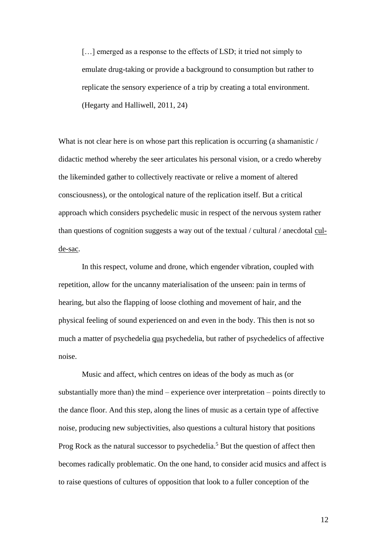[...] emerged as a response to the effects of LSD; it tried not simply to emulate drug-taking or provide a background to consumption but rather to replicate the sensory experience of a trip by creating a total environment. (Hegarty and Halliwell, 2011, 24)

What is not clear here is on whose part this replication is occurring (a shamanistic / didactic method whereby the seer articulates his personal vision, or a credo whereby the likeminded gather to collectively reactivate or relive a moment of altered consciousness), or the ontological nature of the replication itself. But a critical approach which considers psychedelic music in respect of the nervous system rather than questions of cognition suggests a way out of the textual / cultural / anecdotal culde-sac.

In this respect, volume and drone, which engender vibration, coupled with repetition, allow for the uncanny materialisation of the unseen: pain in terms of hearing, but also the flapping of loose clothing and movement of hair, and the physical feeling of sound experienced on and even in the body. This then is not so much a matter of psychedelia qua psychedelia, but rather of psychedelics of affective noise.

Music and affect, which centres on ideas of the body as much as (or substantially more than) the mind – experience over interpretation – points directly to the dance floor. And this step, along the lines of music as a certain type of affective noise, producing new subjectivities, also questions a cultural history that positions Prog Rock as the natural successor to psychedelia.<sup>5</sup> But the question of affect then becomes radically problematic. On the one hand, to consider acid musics and affect is to raise questions of cultures of opposition that look to a fuller conception of the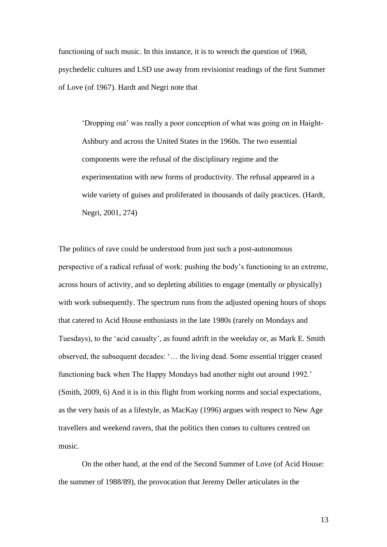functioning of such music. In this instance, it is to wrench the question of 1968, psychedelic cultures and LSD use away from revisionist readings of the first Summer of Love (of 1967). Hardt and Negri note that

'Dropping out' was really a poor conception of what was going on in Haight-Ashbury and across the United States in the 1960s. The two essential components were the refusal of the disciplinary regime and the experimentation with new forms of productivity. The refusal appeared in a wide variety of guises and proliferated in thousands of daily practices. (Hardt, Negri, 2001, 274)

The politics of rave could be understood from just such a post-autonomous perspective of a radical refusal of work: pushing the body's functioning to an extreme, across hours of activity, and so depleting abilities to engage (mentally or physically) with work subsequently. The spectrum runs from the adjusted opening hours of shops that catered to Acid House enthusiasts in the late 1980s (rarely on Mondays and Tuesdays), to the 'acid casualty', as found adrift in the weekday or, as Mark E. Smith observed, the subsequent decades: '… the living dead. Some essential trigger ceased functioning back when The Happy Mondays had another night out around 1992.' (Smith, 2009, 6) And it is in this flight from working norms and social expectations, as the very basis of as a lifestyle, as MacKay (1996) argues with respect to New Age travellers and weekend ravers, that the politics then comes to cultures centred on music.

On the other hand, at the end of the Second Summer of Love (of Acid House: the summer of 1988/89), the provocation that Jeremy Deller articulates in the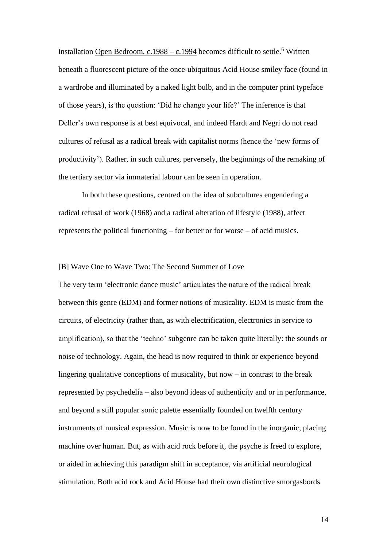installation Open Bedroom, c.1988 – c.1994 becomes difficult to settle.<sup>6</sup> Written beneath a fluorescent picture of the once-ubiquitous Acid House smiley face (found in a wardrobe and illuminated by a naked light bulb, and in the computer print typeface of those years), is the question: 'Did he change your life?' The inference is that Deller's own response is at best equivocal, and indeed Hardt and Negri do not read cultures of refusal as a radical break with capitalist norms (hence the 'new forms of productivity'). Rather, in such cultures, perversely, the beginnings of the remaking of the tertiary sector via immaterial labour can be seen in operation.

In both these questions, centred on the idea of subcultures engendering a radical refusal of work (1968) and a radical alteration of lifestyle (1988), affect represents the political functioning – for better or for worse – of acid musics.

## [B] Wave One to Wave Two: The Second Summer of Love

The very term 'electronic dance music' articulates the nature of the radical break between this genre (EDM) and former notions of musicality. EDM is music from the circuits, of electricity (rather than, as with electrification, electronics in service to amplification), so that the 'techno' subgenre can be taken quite literally: the sounds or noise of technology. Again, the head is now required to think or experience beyond lingering qualitative conceptions of musicality, but now – in contrast to the break represented by psychedelia – also beyond ideas of authenticity and or in performance, and beyond a still popular sonic palette essentially founded on twelfth century instruments of musical expression. Music is now to be found in the inorganic, placing machine over human. But, as with acid rock before it, the psyche is freed to explore, or aided in achieving this paradigm shift in acceptance, via artificial neurological stimulation. Both acid rock and Acid House had their own distinctive smorgasbords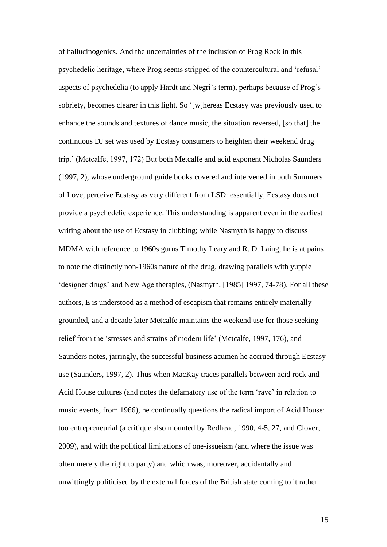of hallucinogenics. And the uncertainties of the inclusion of Prog Rock in this psychedelic heritage, where Prog seems stripped of the countercultural and 'refusal' aspects of psychedelia (to apply Hardt and Negri's term), perhaps because of Prog's sobriety, becomes clearer in this light. So '[w]hereas Ecstasy was previously used to enhance the sounds and textures of dance music, the situation reversed, [so that] the continuous DJ set was used by Ecstasy consumers to heighten their weekend drug trip.' (Metcalfe, 1997, 172) But both Metcalfe and acid exponent Nicholas Saunders (1997, 2), whose underground guide books covered and intervened in both Summers of Love, perceive Ecstasy as very different from LSD: essentially, Ecstasy does not provide a psychedelic experience. This understanding is apparent even in the earliest writing about the use of Ecstasy in clubbing; while Nasmyth is happy to discuss MDMA with reference to 1960s gurus Timothy Leary and R. D. Laing, he is at pains to note the distinctly non-1960s nature of the drug, drawing parallels with yuppie 'designer drugs' and New Age therapies, (Nasmyth, [1985] 1997, 74-78). For all these authors, E is understood as a method of escapism that remains entirely materially grounded, and a decade later Metcalfe maintains the weekend use for those seeking relief from the 'stresses and strains of modern life' (Metcalfe, 1997, 176), and Saunders notes, jarringly, the successful business acumen he accrued through Ecstasy use (Saunders, 1997, 2). Thus when MacKay traces parallels between acid rock and Acid House cultures (and notes the defamatory use of the term 'rave' in relation to music events, from 1966), he continually questions the radical import of Acid House: too entrepreneurial (a critique also mounted by Redhead, 1990, 4-5, 27, and Clover, 2009), and with the political limitations of one-issueism (and where the issue was often merely the right to party) and which was, moreover, accidentally and unwittingly politicised by the external forces of the British state coming to it rather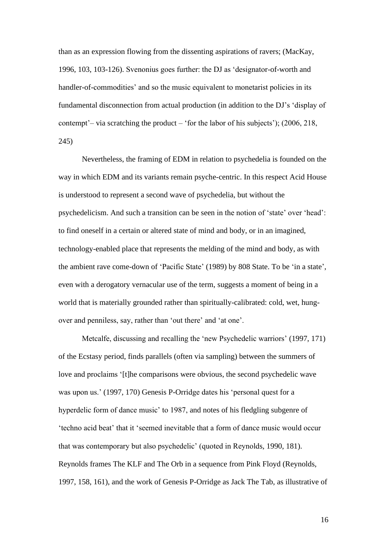than as an expression flowing from the dissenting aspirations of ravers; (MacKay, 1996, 103, 103-126). Svenonius goes further: the DJ as 'designator-of-worth and handler-of-commodities' and so the music equivalent to monetarist policies in its fundamental disconnection from actual production (in addition to the DJ's 'display of contempt'– via scratching the product – 'for the labor of his subjects'); (2006, 218, 245)

Nevertheless, the framing of EDM in relation to psychedelia is founded on the way in which EDM and its variants remain psyche-centric. In this respect Acid House is understood to represent a second wave of psychedelia, but without the psychedelicism. And such a transition can be seen in the notion of 'state' over 'head': to find oneself in a certain or altered state of mind and body, or in an imagined, technology-enabled place that represents the melding of the mind and body, as with the ambient rave come-down of 'Pacific State' (1989) by 808 State. To be 'in a state', even with a derogatory vernacular use of the term, suggests a moment of being in a world that is materially grounded rather than spiritually-calibrated: cold, wet, hungover and penniless, say, rather than 'out there' and 'at one'.

Metcalfe, discussing and recalling the 'new Psychedelic warriors' (1997, 171) of the Ecstasy period, finds parallels (often via sampling) between the summers of love and proclaims '[t]he comparisons were obvious, the second psychedelic wave was upon us.' (1997, 170) Genesis P-Orridge dates his 'personal quest for a hyperdelic form of dance music' to 1987, and notes of his fledgling subgenre of 'techno acid beat' that it 'seemed inevitable that a form of dance music would occur that was contemporary but also psychedelic' (quoted in Reynolds, 1990, 181). Reynolds frames The KLF and The Orb in a sequence from Pink Floyd (Reynolds, 1997, 158, 161), and the work of Genesis P-Orridge as Jack The Tab, as illustrative of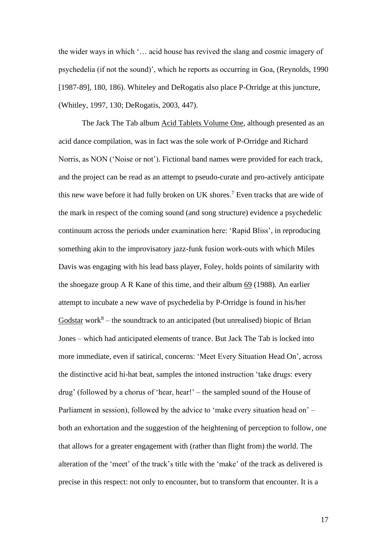the wider ways in which '… acid house has revived the slang and cosmic imagery of psychedelia (if not the sound)', which he reports as occurring in Goa, (Reynolds, 1990 [1987-89], 180, 186). Whiteley and DeRogatis also place P-Orridge at this juncture, (Whitley, 1997, 130; DeRogatis, 2003, 447).

The Jack The Tab album Acid Tablets Volume One, although presented as an acid dance compilation, was in fact was the sole work of P-Orridge and Richard Norris, as NON ('Noise or not'). Fictional band names were provided for each track, and the project can be read as an attempt to pseudo-curate and pro-actively anticipate this new wave before it had fully broken on UK shores.<sup>7</sup> Even tracks that are wide of the mark in respect of the coming sound (and song structure) evidence a psychedelic continuum across the periods under examination here: 'Rapid Bliss', in reproducing something akin to the improvisatory jazz-funk fusion work-outs with which Miles Davis was engaging with his lead bass player, Foley, holds points of similarity with the shoegaze group A R Kane of this time, and their album 69 (1988). An earlier attempt to incubate a new wave of psychedelia by P-Orridge is found in his/her  $\frac{Godstar}{W}$  work<sup>8</sup> – the soundtrack to an anticipated (but unrealised) biopic of Brian Jones – which had anticipated elements of trance. But Jack The Tab is locked into more immediate, even if satirical, concerns: 'Meet Every Situation Head On', across the distinctive acid hi-hat beat, samples the intoned instruction 'take drugs: every drug' (followed by a chorus of 'hear, hear!' – the sampled sound of the House of Parliament in session), followed by the advice to 'make every situation head on' – both an exhortation and the suggestion of the heightening of perception to follow, one that allows for a greater engagement with (rather than flight from) the world. The alteration of the 'meet' of the track's title with the 'make' of the track as delivered is precise in this respect: not only to encounter, but to transform that encounter. It is a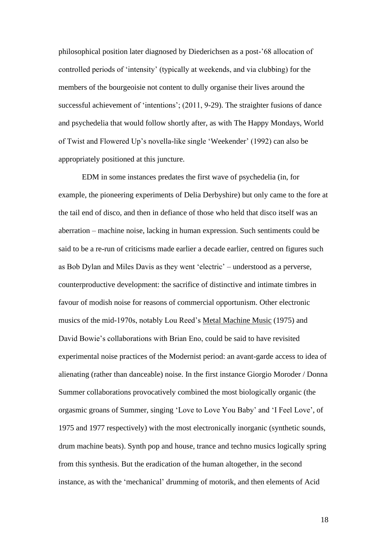philosophical position later diagnosed by Diederichsen as a post-'68 allocation of controlled periods of 'intensity' (typically at weekends, and via clubbing) for the members of the bourgeoisie not content to dully organise their lives around the successful achievement of 'intentions'; (2011, 9-29). The straighter fusions of dance and psychedelia that would follow shortly after, as with The Happy Mondays, World of Twist and Flowered Up's novella-like single 'Weekender' (1992) can also be appropriately positioned at this juncture.

EDM in some instances predates the first wave of psychedelia (in, for example, the pioneering experiments of Delia Derbyshire) but only came to the fore at the tail end of disco, and then in defiance of those who held that disco itself was an aberration – machine noise, lacking in human expression. Such sentiments could be said to be a re-run of criticisms made earlier a decade earlier, centred on figures such as Bob Dylan and Miles Davis as they went 'electric' – understood as a perverse, counterproductive development: the sacrifice of distinctive and intimate timbres in favour of modish noise for reasons of commercial opportunism. Other electronic musics of the mid-1970s, notably Lou Reed's Metal Machine Music (1975) and David Bowie's collaborations with Brian Eno, could be said to have revisited experimental noise practices of the Modernist period: an avant-garde access to idea of alienating (rather than danceable) noise. In the first instance Giorgio Moroder / Donna Summer collaborations provocatively combined the most biologically organic (the orgasmic groans of Summer, singing 'Love to Love You Baby' and 'I Feel Love', of 1975 and 1977 respectively) with the most electronically inorganic (synthetic sounds, drum machine beats). Synth pop and house, trance and techno musics logically spring from this synthesis. But the eradication of the human altogether, in the second instance, as with the 'mechanical' drumming of motorik, and then elements of Acid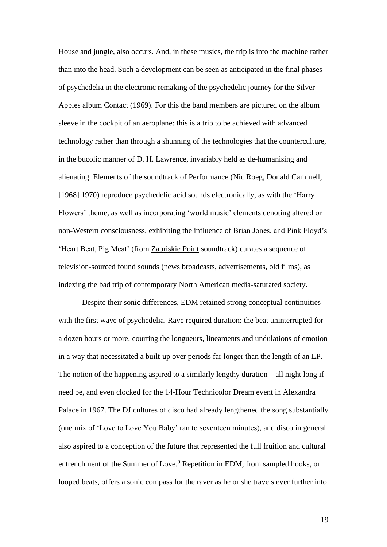House and jungle, also occurs. And, in these musics, the trip is into the machine rather than into the head. Such a development can be seen as anticipated in the final phases of psychedelia in the electronic remaking of the psychedelic journey for the Silver Apples album Contact (1969). For this the band members are pictured on the album sleeve in the cockpit of an aeroplane: this is a trip to be achieved with advanced technology rather than through a shunning of the technologies that the counterculture, in the bucolic manner of D. H. Lawrence, invariably held as de-humanising and alienating. Elements of the soundtrack of Performance (Nic Roeg, Donald Cammell, [1968] 1970) reproduce psychedelic acid sounds electronically, as with the 'Harry Flowers' theme, as well as incorporating 'world music' elements denoting altered or non-Western consciousness, exhibiting the influence of Brian Jones, and Pink Floyd's 'Heart Beat, Pig Meat' (from Zabriskie Point soundtrack) curates a sequence of television-sourced found sounds (news broadcasts, advertisements, old films), as indexing the bad trip of contemporary North American media-saturated society.

Despite their sonic differences, EDM retained strong conceptual continuities with the first wave of psychedelia. Rave required duration: the beat uninterrupted for a dozen hours or more, courting the longueurs, lineaments and undulations of emotion in a way that necessitated a built-up over periods far longer than the length of an LP. The notion of the happening aspired to a similarly lengthy duration – all night long if need be, and even clocked for the 14-Hour Technicolor Dream event in Alexandra Palace in 1967. The DJ cultures of disco had already lengthened the song substantially (one mix of 'Love to Love You Baby' ran to seventeen minutes), and disco in general also aspired to a conception of the future that represented the full fruition and cultural entrenchment of the Summer of Love.<sup>9</sup> Repetition in EDM, from sampled hooks, or looped beats, offers a sonic compass for the raver as he or she travels ever further into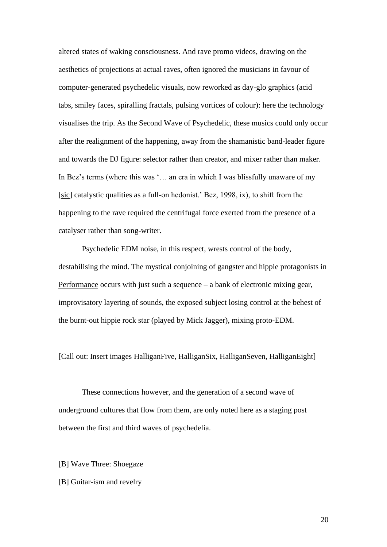altered states of waking consciousness. And rave promo videos, drawing on the aesthetics of projections at actual raves, often ignored the musicians in favour of computer-generated psychedelic visuals, now reworked as day-glo graphics (acid tabs, smiley faces, spiralling fractals, pulsing vortices of colour): here the technology visualises the trip. As the Second Wave of Psychedelic, these musics could only occur after the realignment of the happening, away from the shamanistic band-leader figure and towards the DJ figure: selector rather than creator, and mixer rather than maker. In Bez's terms (where this was '... an era in which I was blissfully unaware of my [sic] catalystic qualities as a full-on hedonist.' Bez, 1998, ix), to shift from the happening to the rave required the centrifugal force exerted from the presence of a catalyser rather than song-writer.

Psychedelic EDM noise, in this respect, wrests control of the body, destabilising the mind. The mystical conjoining of gangster and hippie protagonists in Performance occurs with just such a sequence – a bank of electronic mixing gear, improvisatory layering of sounds, the exposed subject losing control at the behest of the burnt-out hippie rock star (played by Mick Jagger), mixing proto-EDM.

[Call out: Insert images HalliganFive, HalliganSix, HalliganSeven, HalliganEight]

These connections however, and the generation of a second wave of underground cultures that flow from them, are only noted here as a staging post between the first and third waves of psychedelia.

[B] Wave Three: Shoegaze

[B] Guitar-ism and revelry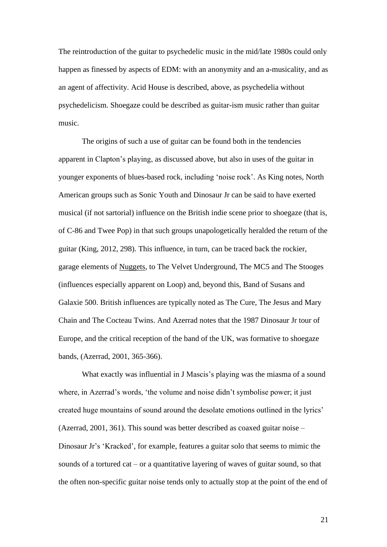The reintroduction of the guitar to psychedelic music in the mid/late 1980s could only happen as finessed by aspects of EDM: with an anonymity and an a-musicality, and as an agent of affectivity. Acid House is described, above, as psychedelia without psychedelicism. Shoegaze could be described as guitar-ism music rather than guitar music.

The origins of such a use of guitar can be found both in the tendencies apparent in Clapton's playing, as discussed above, but also in uses of the guitar in younger exponents of blues-based rock, including 'noise rock'. As King notes, North American groups such as Sonic Youth and Dinosaur Jr can be said to have exerted musical (if not sartorial) influence on the British indie scene prior to shoegaze (that is, of C-86 and Twee Pop) in that such groups unapologetically heralded the return of the guitar (King, 2012, 298). This influence, in turn, can be traced back the rockier, garage elements of Nuggets, to The Velvet Underground, The MC5 and The Stooges (influences especially apparent on Loop) and, beyond this, Band of Susans and Galaxie 500. British influences are typically noted as The Cure, The Jesus and Mary Chain and The Cocteau Twins. And Azerrad notes that the 1987 Dinosaur Jr tour of Europe, and the critical reception of the band of the UK, was formative to shoegaze bands, (Azerrad, 2001, 365-366).

What exactly was influential in J Mascis's playing was the miasma of a sound where, in Azerrad's words, 'the volume and noise didn't symbolise power; it just created huge mountains of sound around the desolate emotions outlined in the lyrics' (Azerrad, 2001, 361). This sound was better described as coaxed guitar noise – Dinosaur Jr's 'Kracked', for example, features a guitar solo that seems to mimic the sounds of a tortured cat – or a quantitative layering of waves of guitar sound, so that the often non-specific guitar noise tends only to actually stop at the point of the end of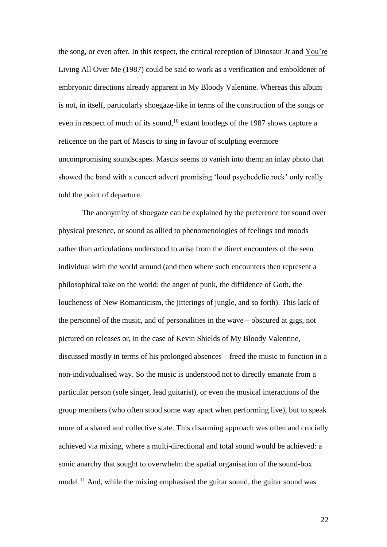the song, or even after. In this respect, the critical reception of Dinosaur Jr and You're Living All Over Me (1987) could be said to work as a verification and emboldener of embryonic directions already apparent in My Bloody Valentine. Whereas this album is not, in itself, particularly shoegaze-like in terms of the construction of the songs or even in respect of much of its sound,<sup>10</sup> extant bootlegs of the 1987 shows capture a reticence on the part of Mascis to sing in favour of sculpting evermore uncompromising soundscapes. Mascis seems to vanish into them; an inlay photo that showed the band with a concert advert promising 'loud psychedelic rock' only really told the point of departure.

The anonymity of shoegaze can be explained by the preference for sound over physical presence, or sound as allied to phenomenologies of feelings and moods rather than articulations understood to arise from the direct encounters of the seen individual with the world around (and then where such encounters then represent a philosophical take on the world: the anger of punk, the diffidence of Goth, the loucheness of New Romanticism, the jitterings of jungle, and so forth). This lack of the personnel of the music, and of personalities in the wave – obscured at gigs, not pictured on releases or, in the case of Kevin Shields of My Bloody Valentine, discussed mostly in terms of his prolonged absences – freed the music to function in a non-individualised way. So the music is understood not to directly emanate from a particular person (sole singer, lead guitarist), or even the musical interactions of the group members (who often stood some way apart when performing live), but to speak more of a shared and collective state. This disarming approach was often and crucially achieved via mixing, where a multi-directional and total sound would be achieved: a sonic anarchy that sought to overwhelm the spatial organisation of the sound-box model.<sup>11</sup> And, while the mixing emphasised the guitar sound, the guitar sound was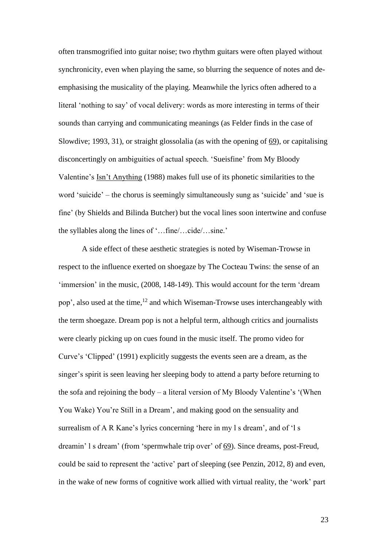often transmogrified into guitar noise; two rhythm guitars were often played without synchronicity, even when playing the same, so blurring the sequence of notes and deemphasising the musicality of the playing. Meanwhile the lyrics often adhered to a literal 'nothing to say' of vocal delivery: words as more interesting in terms of their sounds than carrying and communicating meanings (as Felder finds in the case of Slowdive; 1993, 31), or straight glossolalia (as with the opening of 69), or capitalising disconcertingly on ambiguities of actual speech. 'Sueisfine' from My Bloody Valentine's Isn't Anything (1988) makes full use of its phonetic similarities to the word 'suicide' – the chorus is seemingly simultaneously sung as 'suicide' and 'sue is fine' (by Shields and Bilinda Butcher) but the vocal lines soon intertwine and confuse the syllables along the lines of '…fine/…cide/…sine.'

A side effect of these aesthetic strategies is noted by Wiseman-Trowse in respect to the influence exerted on shoegaze by The Cocteau Twins: the sense of an 'immersion' in the music, (2008, 148-149). This would account for the term 'dream pop', also used at the time,<sup>12</sup> and which Wiseman-Trowse uses interchangeably with the term shoegaze. Dream pop is not a helpful term, although critics and journalists were clearly picking up on cues found in the music itself. The promo video for Curve's 'Clipped' (1991) explicitly suggests the events seen are a dream, as the singer's spirit is seen leaving her sleeping body to attend a party before returning to the sofa and rejoining the body – a literal version of My Bloody Valentine's '(When You Wake) You're Still in a Dream', and making good on the sensuality and surrealism of A R Kane's lyrics concerning 'here in my l s dream', and of 'l s dreamin' l s dream' (from 'spermwhale trip over' of 69). Since dreams, post-Freud, could be said to represent the 'active' part of sleeping (see Penzin, 2012, 8) and even, in the wake of new forms of cognitive work allied with virtual reality, the 'work' part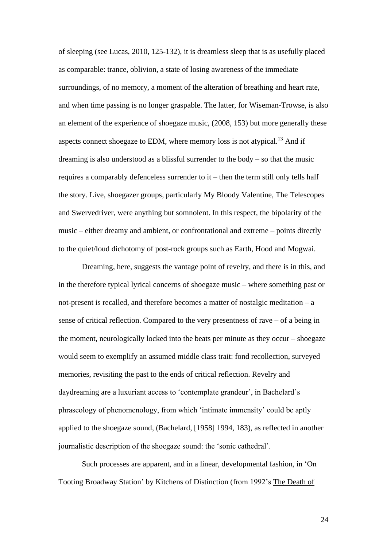of sleeping (see Lucas, 2010, 125-132), it is dreamless sleep that is as usefully placed as comparable: trance, oblivion, a state of losing awareness of the immediate surroundings, of no memory, a moment of the alteration of breathing and heart rate, and when time passing is no longer graspable. The latter, for Wiseman-Trowse, is also an element of the experience of shoegaze music, (2008, 153) but more generally these aspects connect shoegaze to EDM, where memory loss is not atypical.<sup>13</sup> And if dreaming is also understood as a blissful surrender to the body – so that the music requires a comparably defenceless surrender to it – then the term still only tells half the story. Live, shoegazer groups, particularly My Bloody Valentine, The Telescopes and Swervedriver, were anything but somnolent. In this respect, the bipolarity of the music – either dreamy and ambient, or confrontational and extreme – points directly to the quiet/loud dichotomy of post-rock groups such as Earth, Hood and Mogwai.

Dreaming, here, suggests the vantage point of revelry, and there is in this, and in the therefore typical lyrical concerns of shoegaze music – where something past or not-present is recalled, and therefore becomes a matter of nostalgic meditation – a sense of critical reflection. Compared to the very presentness of rave – of a being in the moment, neurologically locked into the beats per minute as they occur – shoegaze would seem to exemplify an assumed middle class trait: fond recollection, surveyed memories, revisiting the past to the ends of critical reflection. Revelry and daydreaming are a luxuriant access to 'contemplate grandeur', in Bachelard's phraseology of phenomenology, from which 'intimate immensity' could be aptly applied to the shoegaze sound, (Bachelard, [1958] 1994, 183), as reflected in another journalistic description of the shoegaze sound: the 'sonic cathedral'.

Such processes are apparent, and in a linear, developmental fashion, in 'On Tooting Broadway Station' by Kitchens of Distinction (from 1992's The Death of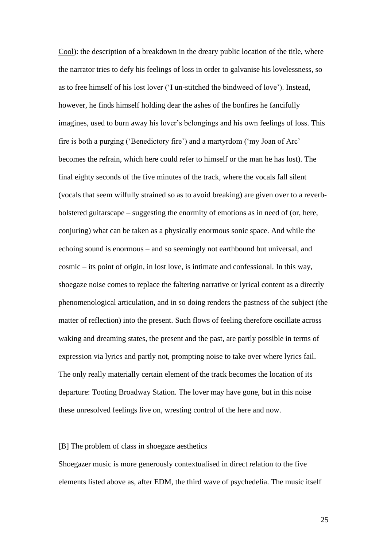Cool): the description of a breakdown in the dreary public location of the title, where the narrator tries to defy his feelings of loss in order to galvanise his lovelessness, so as to free himself of his lost lover ('I un-stitched the bindweed of love'). Instead, however, he finds himself holding dear the ashes of the bonfires he fancifully imagines, used to burn away his lover's belongings and his own feelings of loss. This fire is both a purging ('Benedictory fire') and a martyrdom ('my Joan of Arc' becomes the refrain, which here could refer to himself or the man he has lost). The final eighty seconds of the five minutes of the track, where the vocals fall silent (vocals that seem wilfully strained so as to avoid breaking) are given over to a reverbbolstered guitarscape – suggesting the enormity of emotions as in need of (or, here, conjuring) what can be taken as a physically enormous sonic space. And while the echoing sound is enormous – and so seemingly not earthbound but universal, and cosmic – its point of origin, in lost love, is intimate and confessional. In this way, shoegaze noise comes to replace the faltering narrative or lyrical content as a directly phenomenological articulation, and in so doing renders the pastness of the subject (the matter of reflection) into the present. Such flows of feeling therefore oscillate across waking and dreaming states, the present and the past, are partly possible in terms of expression via lyrics and partly not, prompting noise to take over where lyrics fail. The only really materially certain element of the track becomes the location of its departure: Tooting Broadway Station. The lover may have gone, but in this noise these unresolved feelings live on, wresting control of the here and now.

#### [B] The problem of class in shoegaze aesthetics

Shoegazer music is more generously contextualised in direct relation to the five elements listed above as, after EDM, the third wave of psychedelia. The music itself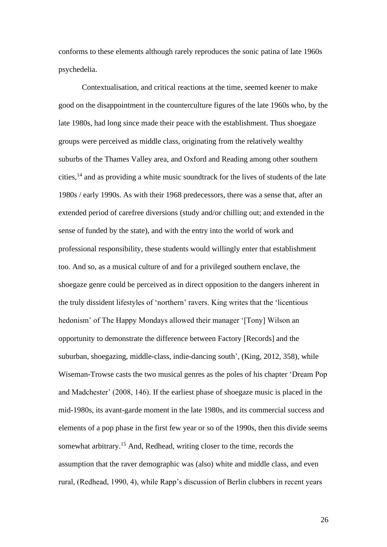conforms to these elements although rarely reproduces the sonic patina of late 1960s psychedelia.

Contextualisation, and critical reactions at the time, seemed keener to make good on the disappointment in the counterculture figures of the late 1960s who, by the late 1980s, had long since made their peace with the establishment. Thus shoegaze groups were perceived as middle class, originating from the relatively wealthy suburbs of the Thames Valley area, and Oxford and Reading among other southern cities, <sup>14</sup> and as providing a white music soundtrack for the lives of students of the late 1980s / early 1990s. As with their 1968 predecessors, there was a sense that, after an extended period of carefree diversions (study and/or chilling out; and extended in the sense of funded by the state), and with the entry into the world of work and professional responsibility, these students would willingly enter that establishment too. And so, as a musical culture of and for a privileged southern enclave, the shoegaze genre could be perceived as in direct opposition to the dangers inherent in the truly dissident lifestyles of 'northern' ravers. King writes that the 'licentious hedonism' of The Happy Mondays allowed their manager '[Tony] Wilson an opportunity to demonstrate the difference between Factory [Records] and the suburban, shoegazing, middle-class, indie-dancing south', (King, 2012, 358), while Wiseman-Trowse casts the two musical genres as the poles of his chapter 'Dream Pop and Madchester' (2008, 146). If the earliest phase of shoegaze music is placed in the mid-1980s, its avant-garde moment in the late 1980s, and its commercial success and elements of a pop phase in the first few year or so of the 1990s, then this divide seems somewhat arbitrary.<sup>15</sup> And, Redhead, writing closer to the time, records the assumption that the raver demographic was (also) white and middle class, and even rural, (Redhead, 1990, 4), while Rapp's discussion of Berlin clubbers in recent years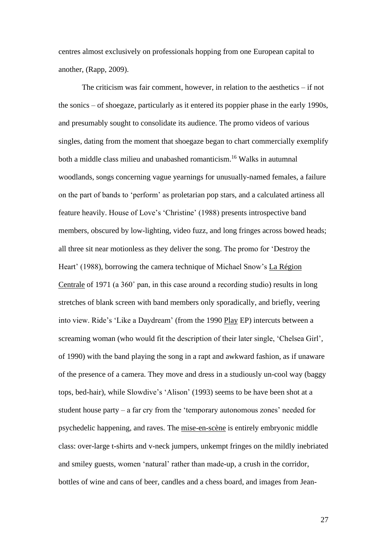centres almost exclusively on professionals hopping from one European capital to another, (Rapp, 2009).

The criticism was fair comment, however, in relation to the aesthetics – if not the sonics – of shoegaze, particularly as it entered its poppier phase in the early 1990s, and presumably sought to consolidate its audience. The promo videos of various singles, dating from the moment that shoegaze began to chart commercially exemplify both a middle class milieu and unabashed romanticism. <sup>16</sup> Walks in autumnal woodlands, songs concerning vague yearnings for unusually-named females, a failure on the part of bands to 'perform' as proletarian pop stars, and a calculated artiness all feature heavily. House of Love's 'Christine' (1988) presents introspective band members, obscured by low-lighting, video fuzz, and long fringes across bowed heads; all three sit near motionless as they deliver the song. The promo for 'Destroy the Heart' (1988), borrowing the camera technique of Michael Snow's La Région Centrale of 1971 (a 360˚ pan, in this case around a recording studio) results in long stretches of blank screen with band members only sporadically, and briefly, veering into view. Ride's 'Like a Daydream' (from the 1990 Play EP) intercuts between a screaming woman (who would fit the description of their later single, 'Chelsea Girl', of 1990) with the band playing the song in a rapt and awkward fashion, as if unaware of the presence of a camera. They move and dress in a studiously un-cool way (baggy tops, bed-hair), while Slowdive's 'Alison' (1993) seems to be have been shot at a student house party – a far cry from the 'temporary autonomous zones' needed for psychedelic happening, and raves. The mise-en-scène is entirely embryonic middle class: over-large t-shirts and v-neck jumpers, unkempt fringes on the mildly inebriated and smiley guests, women 'natural' rather than made-up, a crush in the corridor, bottles of wine and cans of beer, candles and a chess board, and images from Jean-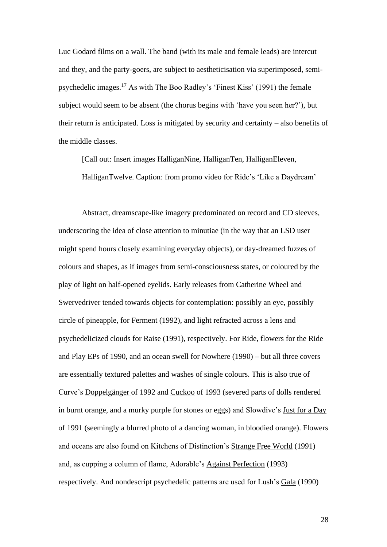Luc Godard films on a wall. The band (with its male and female leads) are intercut and they, and the party-goers, are subject to aestheticisation via superimposed, semipsychedelic images.<sup>17</sup> As with The Boo Radley's 'Finest Kiss' (1991) the female subject would seem to be absent (the chorus begins with 'have you seen her?'), but their return is anticipated. Loss is mitigated by security and certainty – also benefits of the middle classes.

[Call out: Insert images HalliganNine, HalliganTen, HalliganEleven, HalliganTwelve. Caption: from promo video for Ride's 'Like a Daydream'

Abstract, dreamscape-like imagery predominated on record and CD sleeves, underscoring the idea of close attention to minutiae (in the way that an LSD user might spend hours closely examining everyday objects), or day-dreamed fuzzes of colours and shapes, as if images from semi-consciousness states, or coloured by the play of light on half-opened eyelids. Early releases from Catherine Wheel and Swervedriver tended towards objects for contemplation: possibly an eye, possibly circle of pineapple, for Ferment (1992), and light refracted across a lens and psychedelicized clouds for Raise (1991), respectively. For Ride, flowers for the Ride and Play EPs of 1990, and an ocean swell for Nowhere (1990) – but all three covers are essentially textured palettes and washes of single colours. This is also true of Curve's Doppelgänger of 1992 and Cuckoo of 1993 (severed parts of dolls rendered in burnt orange, and a murky purple for stones or eggs) and Slowdive's Just for a Day of 1991 (seemingly a blurred photo of a dancing woman, in bloodied orange). Flowers and oceans are also found on Kitchens of Distinction's Strange Free World (1991) and, as cupping a column of flame, Adorable's Against Perfection (1993) respectively. And nondescript psychedelic patterns are used for Lush's Gala (1990)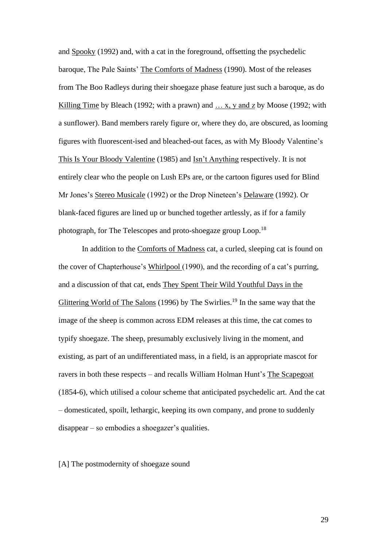and Spooky (1992) and, with a cat in the foreground, offsetting the psychedelic baroque, The Pale Saints' The Comforts of Madness (1990). Most of the releases from The Boo Radleys during their shoegaze phase feature just such a baroque, as do Killing Time by Bleach (1992; with a prawn) and  $\dots x$ , y and z by Moose (1992; with a sunflower). Band members rarely figure or, where they do, are obscured, as looming figures with fluorescent-ised and bleached-out faces, as with My Bloody Valentine's This Is Your Bloody Valentine (1985) and Isn't Anything respectively. It is not entirely clear who the people on Lush EPs are, or the cartoon figures used for Blind Mr Jones's Stereo Musicale (1992) or the Drop Nineteen's Delaware (1992). Or blank-faced figures are lined up or bunched together artlessly, as if for a family photograph, for The Telescopes and proto-shoegaze group Loop.<sup>18</sup>

In addition to the Comforts of Madness cat, a curled, sleeping cat is found on the cover of Chapterhouse's Whirlpool (1990), and the recording of a cat's purring, and a discussion of that cat, ends They Spent Their Wild Youthful Days in the Glittering World of The Salons (1996) by The Swirlies.<sup>19</sup> In the same way that the image of the sheep is common across EDM releases at this time, the cat comes to typify shoegaze. The sheep, presumably exclusively living in the moment, and existing, as part of an undifferentiated mass, in a field, is an appropriate mascot for ravers in both these respects – and recalls William Holman Hunt's The Scapegoat (1854-6), which utilised a colour scheme that anticipated psychedelic art. And the cat – domesticated, spoilt, lethargic, keeping its own company, and prone to suddenly disappear – so embodies a shoegazer's qualities.

#### [A] The postmodernity of shoegaze sound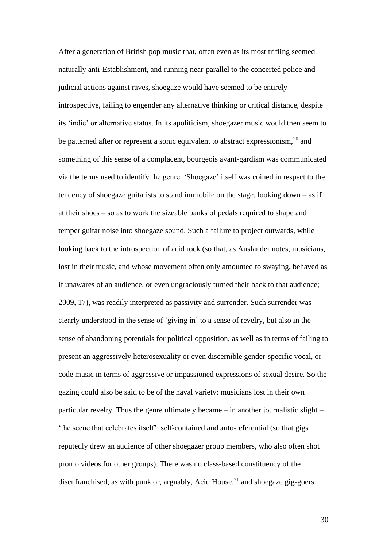After a generation of British pop music that, often even as its most trifling seemed naturally anti-Establishment, and running near-parallel to the concerted police and judicial actions against raves, shoegaze would have seemed to be entirely introspective, failing to engender any alternative thinking or critical distance, despite its 'indie' or alternative status. In its apoliticism, shoegazer music would then seem to be patterned after or represent a sonic equivalent to abstract expressionism,<sup>20</sup> and something of this sense of a complacent, bourgeois avant-gardism was communicated via the terms used to identify the genre. 'Shoegaze' itself was coined in respect to the tendency of shoegaze guitarists to stand immobile on the stage, looking down – as if at their shoes – so as to work the sizeable banks of pedals required to shape and temper guitar noise into shoegaze sound. Such a failure to project outwards, while looking back to the introspection of acid rock (so that, as Auslander notes, musicians, lost in their music, and whose movement often only amounted to swaying, behaved as if unawares of an audience, or even ungraciously turned their back to that audience; 2009, 17), was readily interpreted as passivity and surrender. Such surrender was clearly understood in the sense of 'giving in' to a sense of revelry, but also in the sense of abandoning potentials for political opposition, as well as in terms of failing to present an aggressively heterosexuality or even discernible gender-specific vocal, or code music in terms of aggressive or impassioned expressions of sexual desire. So the gazing could also be said to be of the naval variety: musicians lost in their own particular revelry. Thus the genre ultimately became – in another journalistic slight – 'the scene that celebrates itself': self-contained and auto-referential (so that gigs reputedly drew an audience of other shoegazer group members, who also often shot promo videos for other groups). There was no class-based constituency of the disenfranchised, as with punk or, arguably, Acid House, <sup>21</sup> and shoegaze gig-goers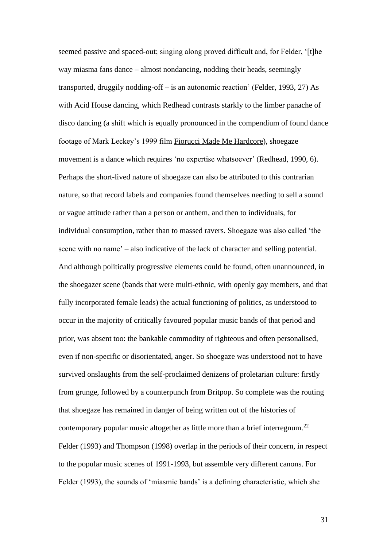seemed passive and spaced-out; singing along proved difficult and, for Felder, '[t]he way miasma fans dance – almost nondancing, nodding their heads, seemingly transported, druggily nodding-off – is an autonomic reaction' (Felder, 1993, 27) As with Acid House dancing, which Redhead contrasts starkly to the limber panache of disco dancing (a shift which is equally pronounced in the compendium of found dance footage of Mark Leckey's 1999 film Fiorucci Made Me Hardcore), shoegaze movement is a dance which requires 'no expertise whatsoever' (Redhead, 1990, 6). Perhaps the short-lived nature of shoegaze can also be attributed to this contrarian nature, so that record labels and companies found themselves needing to sell a sound or vague attitude rather than a person or anthem, and then to individuals, for individual consumption, rather than to massed ravers. Shoegaze was also called 'the scene with no name' – also indicative of the lack of character and selling potential. And although politically progressive elements could be found, often unannounced, in the shoegazer scene (bands that were multi-ethnic, with openly gay members, and that fully incorporated female leads) the actual functioning of politics, as understood to occur in the majority of critically favoured popular music bands of that period and prior, was absent too: the bankable commodity of righteous and often personalised, even if non-specific or disorientated, anger. So shoegaze was understood not to have survived onslaughts from the self-proclaimed denizens of proletarian culture: firstly from grunge, followed by a counterpunch from Britpop. So complete was the routing that shoegaze has remained in danger of being written out of the histories of contemporary popular music altogether as little more than a brief interregnum.<sup>22</sup> Felder (1993) and Thompson (1998) overlap in the periods of their concern, in respect to the popular music scenes of 1991-1993, but assemble very different canons. For Felder (1993), the sounds of 'miasmic bands' is a defining characteristic, which she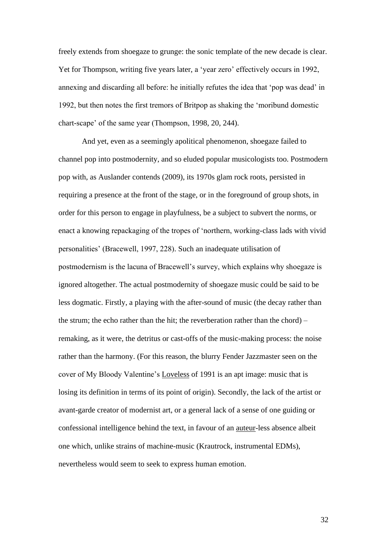freely extends from shoegaze to grunge: the sonic template of the new decade is clear. Yet for Thompson, writing five years later, a 'year zero' effectively occurs in 1992, annexing and discarding all before: he initially refutes the idea that 'pop was dead' in 1992, but then notes the first tremors of Britpop as shaking the 'moribund domestic chart-scape' of the same year (Thompson, 1998, 20, 244).

And yet, even as a seemingly apolitical phenomenon, shoegaze failed to channel pop into postmodernity, and so eluded popular musicologists too. Postmodern pop with, as Auslander contends (2009), its 1970s glam rock roots, persisted in requiring a presence at the front of the stage, or in the foreground of group shots, in order for this person to engage in playfulness, be a subject to subvert the norms, or enact a knowing repackaging of the tropes of 'northern, working-class lads with vivid personalities' (Bracewell, 1997, 228). Such an inadequate utilisation of postmodernism is the lacuna of Bracewell's survey, which explains why shoegaze is ignored altogether. The actual postmodernity of shoegaze music could be said to be less dogmatic. Firstly, a playing with the after-sound of music (the decay rather than the strum; the echo rather than the hit; the reverberation rather than the chord) – remaking, as it were, the detritus or cast-offs of the music-making process: the noise rather than the harmony. (For this reason, the blurry Fender Jazzmaster seen on the cover of My Bloody Valentine's Loveless of 1991 is an apt image: music that is losing its definition in terms of its point of origin). Secondly, the lack of the artist or avant-garde creator of modernist art, or a general lack of a sense of one guiding or confessional intelligence behind the text, in favour of an auteur-less absence albeit one which, unlike strains of machine-music (Krautrock, instrumental EDMs), nevertheless would seem to seek to express human emotion.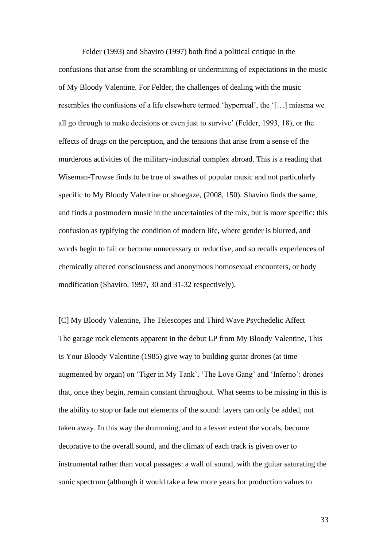Felder (1993) and Shaviro (1997) both find a political critique in the confusions that arise from the scrambling or undermining of expectations in the music of My Bloody Valentine. For Felder, the challenges of dealing with the music resembles the confusions of a life elsewhere termed 'hyperreal', the '[…] miasma we all go through to make decisions or even just to survive' (Felder, 1993, 18), or the effects of drugs on the perception, and the tensions that arise from a sense of the murderous activities of the military-industrial complex abroad. This is a reading that Wiseman-Trowse finds to be true of swathes of popular music and not particularly specific to My Bloody Valentine or shoegaze, (2008, 150). Shaviro finds the same, and finds a postmodern music in the uncertainties of the mix, but is more specific: this confusion as typifying the condition of modern life, where gender is blurred, and words begin to fail or become unnecessary or reductive, and so recalls experiences of chemically altered consciousness and anonymous homosexual encounters, or body modification (Shaviro, 1997, 30 and 31-32 respectively).

[C] My Bloody Valentine, The Telescopes and Third Wave Psychedelic Affect The garage rock elements apparent in the debut LP from My Bloody Valentine, This Is Your Bloody Valentine (1985) give way to building guitar drones (at time augmented by organ) on 'Tiger in My Tank', 'The Love Gang' and 'Inferno': drones that, once they begin, remain constant throughout. What seems to be missing in this is the ability to stop or fade out elements of the sound: layers can only be added, not taken away. In this way the drumming, and to a lesser extent the vocals, become decorative to the overall sound, and the climax of each track is given over to instrumental rather than vocal passages: a wall of sound, with the guitar saturating the sonic spectrum (although it would take a few more years for production values to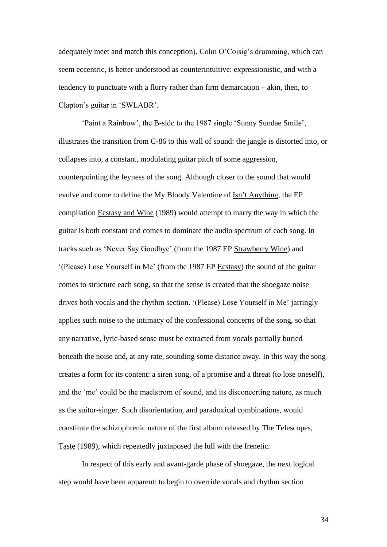adequately meet and match this conception). Colm O'Coisig's drumming, which can seem eccentric, is better understood as counterintuitive: expressionistic, and with a tendency to punctuate with a flurry rather than firm demarcation – akin, then, to Clapton's guitar in 'SWLABR'.

'Paint a Rainbow', the B-side to the 1987 single 'Sunny Sundae Smile', illustrates the transition from C-86 to this wall of sound: the jangle is distorted into, or collapses into, a constant, modulating guitar pitch of some aggression, counterpointing the feyness of the song. Although closer to the sound that would evolve and come to define the My Bloody Valentine of Isn't Anything, the EP compilation Ecstasy and Wine (1989) would attempt to marry the way in which the guitar is both constant and comes to dominate the audio spectrum of each song. In tracks such as 'Never Say Goodbye' (from the 1987 EP Strawberry Wine) and '(Please) Lose Yourself in Me' (from the 1987 EP Ecstasy) the sound of the guitar comes to structure each song, so that the sense is created that the shoegaze noise drives both vocals and the rhythm section. '(Please) Lose Yourself in Me' jarringly applies such noise to the intimacy of the confessional concerns of the song, so that any narrative, lyric-based sense must be extracted from vocals partially buried beneath the noise and, at any rate, sounding some distance away. In this way the song creates a form for its content: a siren song, of a promise and a threat (to lose oneself), and the 'me' could be the maelstrom of sound, and its disconcerting nature, as much as the suitor-singer. Such disorientation, and paradoxical combinations, would constitute the schizophrenic nature of the first album released by The Telescopes, Taste (1989), which repeatedly juxtaposed the lull with the frenetic.

In respect of this early and avant-garde phase of shoegaze, the next logical step would have been apparent: to begin to override vocals and rhythm section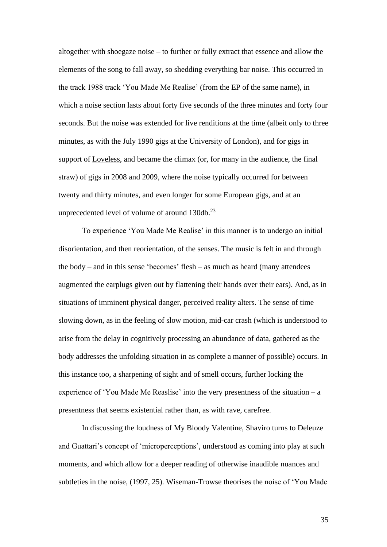altogether with shoegaze noise – to further or fully extract that essence and allow the elements of the song to fall away, so shedding everything bar noise. This occurred in the track 1988 track 'You Made Me Realise' (from the EP of the same name), in which a noise section lasts about forty five seconds of the three minutes and forty four seconds. But the noise was extended for live renditions at the time (albeit only to three minutes, as with the July 1990 gigs at the University of London), and for gigs in support of Loveless, and became the climax (or, for many in the audience, the final straw) of gigs in 2008 and 2009, where the noise typically occurred for between twenty and thirty minutes, and even longer for some European gigs, and at an unprecedented level of volume of around  $130db.^{23}$ 

To experience 'You Made Me Realise' in this manner is to undergo an initial disorientation, and then reorientation, of the senses. The music is felt in and through the body – and in this sense 'becomes' flesh – as much as heard (many attendees augmented the earplugs given out by flattening their hands over their ears). And, as in situations of imminent physical danger, perceived reality alters. The sense of time slowing down, as in the feeling of slow motion, mid-car crash (which is understood to arise from the delay in cognitively processing an abundance of data, gathered as the body addresses the unfolding situation in as complete a manner of possible) occurs. In this instance too, a sharpening of sight and of smell occurs, further locking the experience of 'You Made Me Reaslise' into the very presentness of the situation – a presentness that seems existential rather than, as with rave, carefree.

In discussing the loudness of My Bloody Valentine, Shaviro turns to Deleuze and Guattari's concept of 'microperceptions', understood as coming into play at such moments, and which allow for a deeper reading of otherwise inaudible nuances and subtleties in the noise, (1997, 25). Wiseman-Trowse theorises the noise of 'You Made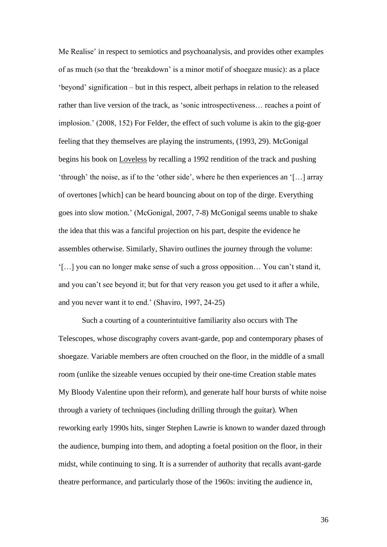Me Realise' in respect to semiotics and psychoanalysis, and provides other examples of as much (so that the 'breakdown' is a minor motif of shoegaze music): as a place 'beyond' signification – but in this respect, albeit perhaps in relation to the released rather than live version of the track, as 'sonic introspectiveness… reaches a point of implosion.' (2008, 152) For Felder, the effect of such volume is akin to the gig-goer feeling that they themselves are playing the instruments, (1993, 29). McGonigal begins his book on Loveless by recalling a 1992 rendition of the track and pushing 'through' the noise, as if to the 'other side', where he then experiences an '[…] array of overtones [which] can be heard bouncing about on top of the dirge. Everything goes into slow motion.' (McGonigal, 2007, 7-8) McGonigal seems unable to shake the idea that this was a fanciful projection on his part, despite the evidence he assembles otherwise. Similarly, Shaviro outlines the journey through the volume: '[…] you can no longer make sense of such a gross opposition… You can't stand it, and you can't see beyond it; but for that very reason you get used to it after a while, and you never want it to end.' (Shaviro, 1997, 24-25)

Such a courting of a counterintuitive familiarity also occurs with The Telescopes, whose discography covers avant-garde, pop and contemporary phases of shoegaze. Variable members are often crouched on the floor, in the middle of a small room (unlike the sizeable venues occupied by their one-time Creation stable mates My Bloody Valentine upon their reform), and generate half hour bursts of white noise through a variety of techniques (including drilling through the guitar). When reworking early 1990s hits, singer Stephen Lawrie is known to wander dazed through the audience, bumping into them, and adopting a foetal position on the floor, in their midst, while continuing to sing. It is a surrender of authority that recalls avant-garde theatre performance, and particularly those of the 1960s: inviting the audience in,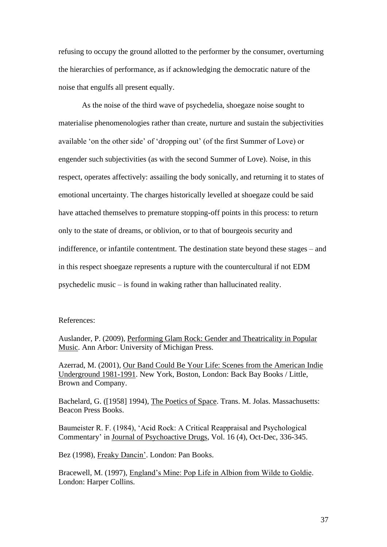refusing to occupy the ground allotted to the performer by the consumer, overturning the hierarchies of performance, as if acknowledging the democratic nature of the noise that engulfs all present equally.

As the noise of the third wave of psychedelia, shoegaze noise sought to materialise phenomenologies rather than create, nurture and sustain the subjectivities available 'on the other side' of 'dropping out' (of the first Summer of Love) or engender such subjectivities (as with the second Summer of Love). Noise, in this respect, operates affectively: assailing the body sonically, and returning it to states of emotional uncertainty. The charges historically levelled at shoegaze could be said have attached themselves to premature stopping-off points in this process: to return only to the state of dreams, or oblivion, or to that of bourgeois security and indifference, or infantile contentment. The destination state beyond these stages – and in this respect shoegaze represents a rupture with the countercultural if not EDM psychedelic music – is found in waking rather than hallucinated reality.

## References:

Auslander, P. (2009), Performing Glam Rock: Gender and Theatricality in Popular Music. Ann Arbor: University of Michigan Press.

Azerrad, M. (2001), Our Band Could Be Your Life: Scenes from the American Indie Underground 1981-1991. New York, Boston, London: Back Bay Books / Little, Brown and Company.

Bachelard, G. ([1958] 1994), The Poetics of Space. Trans. M. Jolas. Massachusetts: Beacon Press Books.

Baumeister R. F. (1984), 'Acid Rock: A Critical Reappraisal and Psychological Commentary' in Journal of Psychoactive Drugs, Vol. 16 (4), Oct-Dec, 336-345.

Bez (1998), Freaky Dancin'. London: Pan Books.

Bracewell, M. (1997), England's Mine: Pop Life in Albion from Wilde to Goldie. London: Harper Collins.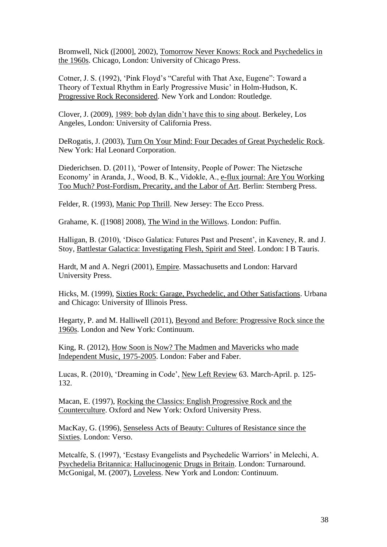Bromwell, Nick ([2000], 2002), Tomorrow Never Knows: Rock and Psychedelics in the 1960s. Chicago, London: University of Chicago Press.

Cotner, J. S. (1992), 'Pink Floyd's "Careful with That Axe, Eugene": Toward a Theory of Textual Rhythm in Early Progressive Music' in Holm-Hudson, K. Progressive Rock Reconsidered. New York and London: Routledge.

Clover, J. (2009), 1989: bob dylan didn't have this to sing about. Berkeley, Los Angeles, London: University of California Press.

DeRogatis, J. (2003), Turn On Your Mind: Four Decades of Great Psychedelic Rock. New York: Hal Leonard Corporation.

Diederichsen. D. (2011), 'Power of Intensity, People of Power: The Nietzsche Economy' in Aranda, J., Wood, B. K., Vidokle, A., e-flux journal: Are You Working Too Much? Post-Fordism, Precarity, and the Labor of Art. Berlin: Sternberg Press.

Felder, R. (1993), Manic Pop Thrill. New Jersey: The Ecco Press.

Grahame, K. ([1908] 2008), The Wind in the Willows. London: Puffin.

Halligan, B. (2010), 'Disco Galatica: Futures Past and Present', in Kaveney, R. and J. Stoy, Battlestar Galactica: Investigating Flesh, Spirit and Steel. London: I B Tauris.

Hardt, M and A. Negri (2001), Empire. Massachusetts and London: Harvard University Press.

Hicks, M. (1999), Sixties Rock: Garage, Psychedelic, and Other Satisfactions. Urbana and Chicago: University of Illinois Press.

Hegarty, P. and M. Halliwell (2011), Beyond and Before: Progressive Rock since the 1960s. London and New York: Continuum.

King, R. (2012), How Soon is Now? The Madmen and Mavericks who made Independent Music, 1975-2005. London: Faber and Faber.

Lucas, R. (2010), 'Dreaming in Code', New Left Review 63. March-April. p. 125- 132.

Macan, E. (1997), Rocking the Classics: English Progressive Rock and the Counterculture. Oxford and New York: Oxford University Press.

MacKay, G. (1996), Senseless Acts of Beauty: Cultures of Resistance since the Sixties. London: Verso.

Metcalfe, S. (1997), 'Ecstasy Evangelists and Psychedelic Warriors' in Melechi, A. Psychedelia Britannica: Hallucinogenic Drugs in Britain. London: Turnaround. McGonigal, M. (2007), Loveless. New York and London: Continuum.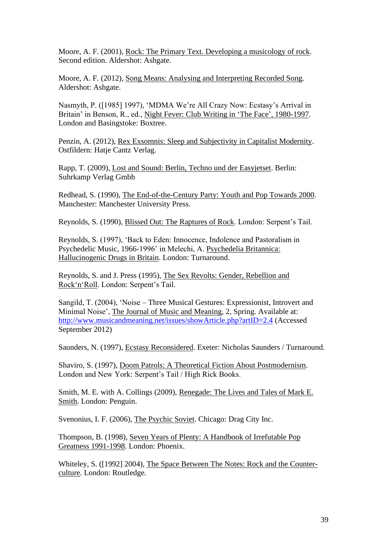Moore, A. F. (2001), Rock: The Primary Text. Developing a musicology of rock. Second edition. Aldershot: Ashgate.

Moore, A. F. (2012), Song Means: Analysing and Interpreting Recorded Song. Aldershot: Ashgate.

Nasmyth, P. ([1985] 1997), 'MDMA We're All Crazy Now: Ecstasy's Arrival in Britain' in Benson, R., ed., Night Fever: Club Writing in 'The Face', 1980-1997. London and Basingstoke: Boxtree.

Penzin, A. (2012), Rex Exsomnis: Sleep and Subjectivity in Capitalist Modernity. Ostfildern: Hatje Cantz Verlag.

Rapp, T. (2009), Lost and Sound: Berlin, Techno und der Easyjetset. Berlin: Suhrkamp Verlag Gmbh

Redhead, S. (1990), The End-of-the-Century Party: Youth and Pop Towards 2000. Manchester: Manchester University Press.

Reynolds, S. (1990), Blissed Out: The Raptures of Rock. London: Serpent's Tail.

Reynolds, S. (1997), 'Back to Eden: Innocence, Indolence and Pastoralism in Psychedelic Music, 1966-1996' in Melechi, A. Psychedelia Britannica: Hallucinogenic Drugs in Britain. London: Turnaround.

Reynolds, S. and J. Press (1995), The Sex Revolts: Gender, Rebellion and Rock'n'Roll. London: Serpent's Tail.

Sangild, T. (2004), 'Noise – Three Musical Gestures: Expressionist, Introvert and Minimal Noise', The Journal of Music and Meaning, 2, Spring. Available at: <http://www.musicandmeaning.net/issues/showArticle.php?artID=2.4> (Accessed September 2012)

Saunders, N. (1997), Ecstasy Reconsidered. Exeter: Nicholas Saunders / Turnaround.

Shaviro, S. (1997), Doom Patrols: A Theoretical Fiction About Postmodernism. London and New York: Serpent's Tail / High Rick Books.

Smith, M. E. with A. Collings (2009), Renegade: The Lives and Tales of Mark E. Smith. London: Penguin.

Svenonius, I. F. (2006), The Psychic Soviet. Chicago: Drag City Inc.

Thompson, B. (1998), Seven Years of Plenty: A Handbook of Irrefutable Pop Greatness 1991-1998. London: Phoenix.

Whiteley, S. ([1992] 2004), The Space Between The Notes: Rock and the Counterculture. London: Routledge.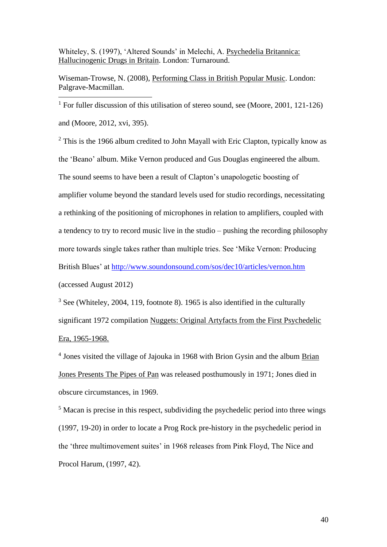Whiteley, S. (1997), 'Altered Sounds' in Melechi, A. Psychedelia Britannica: Hallucinogenic Drugs in Britain. London: Turnaround.

Wiseman-Trowse, N. (2008), Performing Class in British Popular Music. London: Palgrave-Macmillan.

<sup>1</sup> For fuller discussion of this utilisation of stereo sound, see (Moore, 2001, 121-126) and (Moore, 2012, xvi, 395).

 $2$  This is the 1966 album credited to John Mayall with Eric Clapton, typically know as the 'Beano' album. Mike Vernon produced and Gus Douglas engineered the album. The sound seems to have been a result of Clapton's unapologetic boosting of amplifier volume beyond the standard levels used for studio recordings, necessitating a rethinking of the positioning of microphones in relation to amplifiers, coupled with a tendency to try to record music live in the studio – pushing the recording philosophy more towards single takes rather than multiple tries. See 'Mike Vernon: Producing British Blues' at<http://www.soundonsound.com/sos/dec10/articles/vernon.htm> (accessed August 2012)

<sup>3</sup> See (Whiteley, 2004, 119, footnote 8). 1965 is also identified in the culturally significant 1972 compilation Nuggets: Original Artyfacts from the First Psychedelic Era, 1965-1968.

<sup>4</sup> Jones visited the village of Jajouka in 1968 with Brion Gysin and the album Brian Jones Presents The Pipes of Pan was released posthumously in 1971; Jones died in obscure circumstances, in 1969.

 $<sup>5</sup>$  Macan is precise in this respect, subdividing the psychedelic period into three wings</sup> (1997, 19-20) in order to locate a Prog Rock pre-history in the psychedelic period in the 'three multimovement suites' in 1968 releases from Pink Floyd, The Nice and Procol Harum, (1997, 42).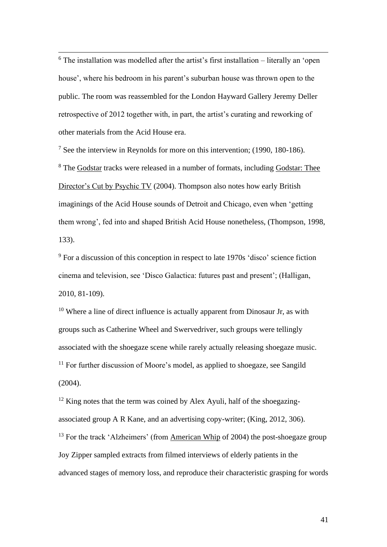$6$  The installation was modelled after the artist's first installation – literally an 'open house', where his bedroom in his parent's suburban house was thrown open to the public. The room was reassembled for the London Hayward Gallery Jeremy Deller retrospective of 2012 together with, in part, the artist's curating and reworking of other materials from the Acid House era.

<sup>7</sup> See the interview in Reynolds for more on this intervention; (1990, 180-186).

<sup>8</sup> The Godstar tracks were released in a number of formats, including Godstar: Thee Director's Cut by Psychic TV (2004). Thompson also notes how early British imaginings of the Acid House sounds of Detroit and Chicago, even when 'getting them wrong', fed into and shaped British Acid House nonetheless, (Thompson, 1998, 133).

<sup>9</sup> For a discussion of this conception in respect to late 1970s 'disco' science fiction cinema and television, see 'Disco Galactica: futures past and present'; (Halligan, 2010, 81-109).

 $10$  Where a line of direct influence is actually apparent from Dinosaur Jr, as with groups such as Catherine Wheel and Swervedriver, such groups were tellingly associated with the shoegaze scene while rarely actually releasing shoegaze music.  $11$  For further discussion of Moore's model, as applied to shoegaze, see Sangild (2004).

<sup>12</sup> King notes that the term was coined by Alex Ayuli, half of the shoegazingassociated group A R Kane, and an advertising copy-writer; (King, 2012, 306). <sup>13</sup> For the track 'Alzheimers' (from American Whip of 2004) the post-shoegaze group Joy Zipper sampled extracts from filmed interviews of elderly patients in the advanced stages of memory loss, and reproduce their characteristic grasping for words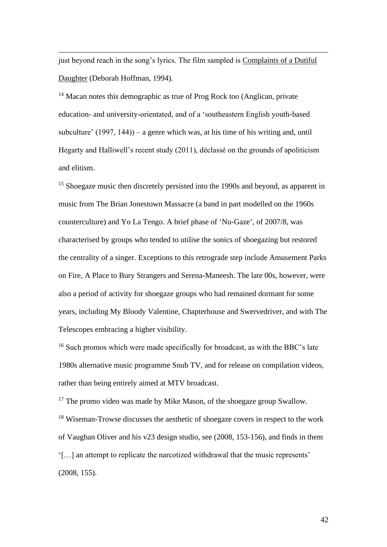just beyond reach in the song's lyrics. The film sampled is Complaints of a Dutiful Daughter (Deborah Hoffman, 1994).

<sup>14</sup> Macan notes this demographic as true of Prog Rock too (Anglican, private education- and university-orientated, and of a 'southeastern English youth-based subculture' (1997, 144)) – a genre which was, at his time of his writing and, until Hegarty and Halliwell's recent study (2011), déclassé on the grounds of apoliticism and elitism.

<sup>15</sup> Shoegaze music then discretely persisted into the 1990s and beyond, as apparent in music from The Brian Jonestown Massacre (a band in part modelled on the 1960s counterculture) and Yo La Tengo. A brief phase of 'Nu-Gaze', of 2007/8, was characterised by groups who tended to utilise the sonics of shoegazing but restored the centrality of a singer. Exceptions to this retrograde step include Amusement Parks on Fire, A Place to Bury Strangers and Serena-Maneesh. The late 00s, however, were also a period of activity for shoegaze groups who had remained dormant for some years, including My Bloody Valentine, Chapterhouse and Swervedriver, and with The Telescopes embracing a higher visibility.

<sup>16</sup> Such promos which were made specifically for broadcast, as with the BBC's late 1980s alternative music programme Snub TV, and for release on compilation videos, rather than being entirely aimed at MTV broadcast.

 $17$  The promo video was made by Mike Mason, of the shoegaze group Swallow.

<sup>18</sup> Wiseman-Trowse discusses the aesthetic of shoegaze covers in respect to the work of Vaughan Oliver and his v23 design studio, see (2008, 153-156), and finds in them '[…] an attempt to replicate the narcotized withdrawal that the music represents' (2008, 155).